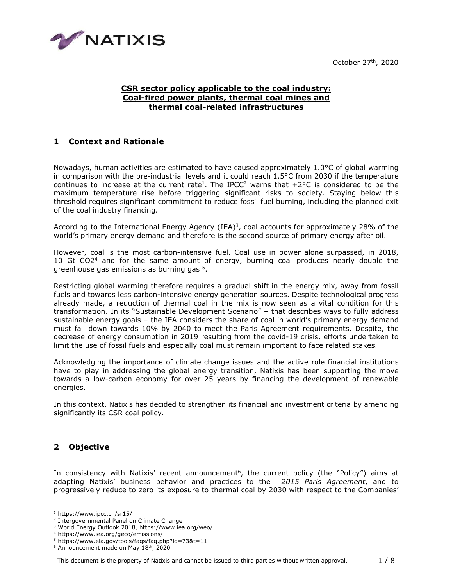October 27th, 2020



## **CSR sector policy applicable to the coal industry: Coal-fired power plants, thermal coal mines and thermal coal-related infrastructures**

## **1 Context and Rationale**

Nowadays, human activities are estimated to have caused approximately 1.0°C of global warming in comparison with the pre-industrial levels and it could reach 1.5°C from 2030 if the temperature continues to increase at the current rate<sup>1</sup>. The IPCC<sup>2</sup> warns that  $+2^{\circ}$ C is considered to be the maximum temperature rise before triggering significant risks to society. Staying below this threshold requires significant commitment to reduce fossil fuel burning, including the planned exit of the coal industry financing.

According to the International Energy Agency (IEA)<sup>3</sup>, coal accounts for approximately 28% of the world's primary energy demand and therefore is the second source of primary energy after oil.

However, coal is the most carbon-intensive fuel. Coal use in power alone surpassed, in 2018, 10 Gt CO2<sup>4</sup> and for the same amount of energy, burning coal produces nearly double the greenhouse gas emissions as burning gas <sup>5</sup>.

Restricting global warming therefore requires a gradual shift in the energy mix, away from fossil fuels and towards less carbon-intensive energy generation sources. Despite technological progress already made, a reduction of thermal coal in the mix is now seen as a vital condition for this transformation. In its "Sustainable Development Scenario" – that describes ways to fully address sustainable energy goals – the IEA considers the share of coal in world's primary energy demand must fall down towards 10% by 2040 to meet the Paris Agreement requirements. Despite, the decrease of energy consumption in 2019 resulting from the covid-19 crisis, efforts undertaken to limit the use of fossil fuels and especially coal must remain important to face related stakes.

Acknowledging the importance of climate change issues and the active role financial institutions have to play in addressing the global energy transition, Natixis has been supporting the move towards a low-carbon economy for over 25 years by financing the development of renewable energies.

In this context, Natixis has decided to strengthen its financial and investment criteria by amending significantly its CSR coal policy.

# **2 Objective**

In consistency with Natixis' recent announcement<sup>6</sup>, the current policy (the "Policy") aims at adapting Natixis' business behavior and practices to the *2015 Paris Agreement*, and to progressively reduce to zero its exposure to thermal coal by 2030 with respect to the Companies'

<sup>1</sup> https://www.ipcc.ch/sr15/

<sup>2</sup> Intergovernmental Panel on Climate Change

<sup>3</sup> World Energy Outlook 2018, https://www.iea.org/weo/

<sup>4</sup> https://www.iea.org/geco/emissions/

<sup>5</sup> https://www.eia.gov/tools/faqs/faq.php?id=73&t=11

<sup>&</sup>lt;sup>6</sup> Announcement made on May 18<sup>th</sup>, 2020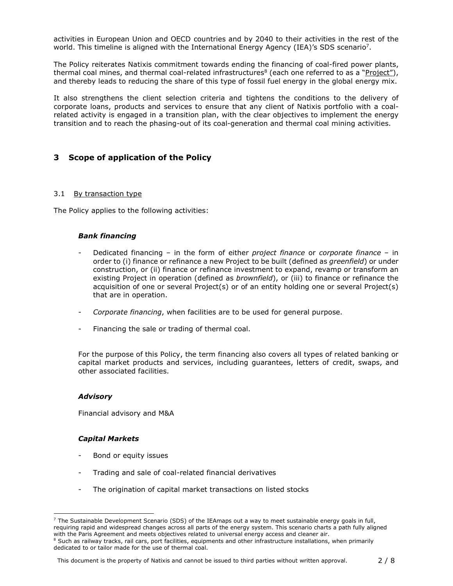activities in European Union and OECD countries and by 2040 to their activities in the rest of the world. This timeline is aligned with the International Energy Agency (IEA)'s SDS scenario<sup>7</sup>.

The Policy reiterates Natixis commitment towards ending the financing of coal-fired power plants, thermal coal mines, and thermal coal-related infrastructures<sup>8</sup> (each one referred to as a "Project"), and thereby leads to reducing the share of this type of fossil fuel energy in the global energy mix.

It also strengthens the client selection criteria and tightens the conditions to the delivery of corporate loans, products and services to ensure that any client of Natixis portfolio with a coalrelated activity is engaged in a transition plan, with the clear objectives to implement the energy transition and to reach the phasing-out of its coal-generation and thermal coal mining activities.

## **3 Scope of application of the Policy**

#### 3.1 By transaction type

The Policy applies to the following activities:

#### *Bank financing*

- Dedicated financing in the form of either *project finance* or *corporate finance*  in order to (i) finance or refinance a new Project to be built (defined as *greenfield*) or under construction, or (ii) finance or refinance investment to expand, revamp or transform an existing Project in operation (defined as *brownfield*), or (iii) to finance or refinance the acquisition of one or several Project(s) or of an entity holding one or several Project(s) that are in operation.
- *Corporate financing*, when facilities are to be used for general purpose.
- Financing the sale or trading of thermal coal.

For the purpose of this Policy, the term financing also covers all types of related banking or capital market products and services, including guarantees, letters of credit, swaps, and other associated facilities.

#### *Advisory*

Financial advisory and M&A

#### *Capital Markets*

- Bond or equity issues
- Trading and sale of coal-related financial derivatives
- The origination of capital market transactions on listed stocks

This document is the property of Natixis and cannot be issued to third parties without written approval. 2 / 8

<sup>7</sup> The Sustainable Development Scenario (SDS) of the IEAmaps out a way to meet sustainable energy goals in full, requiring rapid and widespread changes across all parts of the energy system. This scenario charts a path fully aligned with the Paris Agreement and meets objectives related to universal energy access and cleaner air. <sup>8</sup> Such as railway tracks, rail cars, port facilities, equipments and other infrastructure installations, when primarily dedicated to or tailor made for the use of thermal coal.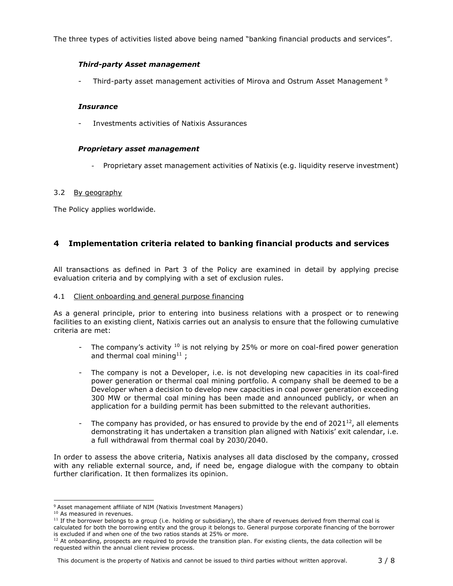The three types of activities listed above being named "banking financial products and services".

## *Third-party Asset management*

- Third-party asset management activities of Mirova and Ostrum Asset Management <sup>9</sup>

## *Insurance*

- Investments activities of Natixis Assurances

## *Proprietary asset management*

- Proprietary asset management activities of Natixis (e.g. liquidity reserve investment)

## 3.2 By geography

The Policy applies worldwide.

# **4 Implementation criteria related to banking financial products and services**

All transactions as defined in Part 3 of the Policy are examined in detail by applying precise evaluation criteria and by complying with a set of exclusion rules.

#### 4.1 Client onboarding and general purpose financing

As a general principle, prior to entering into business relations with a prospect or to renewing facilities to an existing client, Natixis carries out an analysis to ensure that the following cumulative criteria are met:

- The company's activity  $10$  is not relying by 25% or more on coal-fired power generation and thermal coal mining<sup>11</sup> ;
- The company is not a Developer, i.e. is not developing new capacities in its coal-fired power generation or thermal coal mining portfolio. A company shall be deemed to be a Developer when a decision to develop new capacities in coal power generation exceeding 300 MW or thermal coal mining has been made and announced publicly, or when an application for a building permit has been submitted to the relevant authorities.
- The company has provided, or has ensured to provide by the end of  $2021^{12}$ , all elements demonstrating it has undertaken a transition plan aligned with Natixis' exit calendar, i.e. a full withdrawal from thermal coal by 2030/2040.

In order to assess the above criteria, Natixis analyses all data disclosed by the company, crossed with any reliable external source, and, if need be, engage dialogue with the company to obtain further clarification. It then formalizes its opinion.

This document is the property of Natixis and cannot be issued to third parties without written approval. 3/8

<sup>&</sup>lt;sup>9</sup> Asset management affiliate of NIM (Natixis Investment Managers)

<sup>&</sup>lt;sup>10</sup> As measured in revenues.

<sup>&</sup>lt;sup>11</sup> If the borrower belongs to a group (i.e. holding or subsidiary), the share of revenues derived from thermal coal is calculated for both the borrowing entity and the group it belongs to. General purpose corporate financing of the borrower is excluded if and when one of the two ratios stands at 25% or more.

 $12$  At onboarding, prospects are required to provide the transition plan. For existing clients, the data collection will be requested within the annual client review process.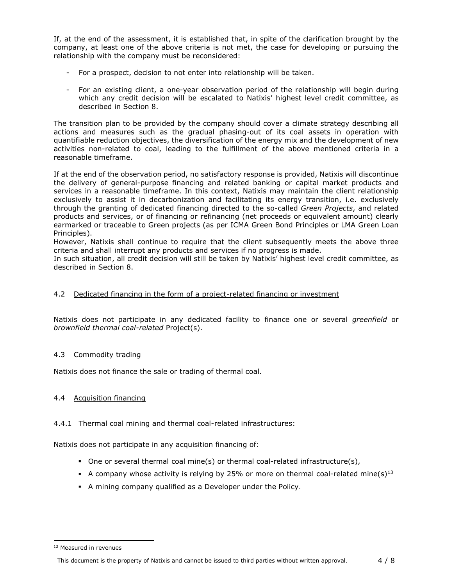If, at the end of the assessment, it is established that, in spite of the clarification brought by the company, at least one of the above criteria is not met, the case for developing or pursuing the relationship with the company must be reconsidered:

- For a prospect, decision to not enter into relationship will be taken.
- For an existing client, a one-year observation period of the relationship will begin during which any credit decision will be escalated to Natixis' highest level credit committee, as described in Section 8.

The transition plan to be provided by the company should cover a climate strategy describing all actions and measures such as the gradual phasing-out of its coal assets in operation with quantifiable reduction objectives, the diversification of the energy mix and the development of new activities non-related to coal, leading to the fulfillment of the above mentioned criteria in a reasonable timeframe.

If at the end of the observation period, no satisfactory response is provided, Natixis will discontinue the delivery of general-purpose financing and related banking or capital market products and services in a reasonable timeframe. In this context, Natixis may maintain the client relationship exclusively to assist it in decarbonization and facilitating its energy transition, i.e. exclusively through the granting of dedicated financing directed to the so-called *Green Projects*, and related products and services, or of financing or refinancing (net proceeds or equivalent amount) clearly earmarked or traceable to Green projects (as per ICMA Green Bond Principles or LMA Green Loan Principles).

However, Natixis shall continue to require that the client subsequently meets the above three criteria and shall interrupt any products and services if no progress is made.

In such situation, all credit decision will still be taken by Natixis' highest level credit committee, as described in Section 8.

#### 4.2 Dedicated financing in the form of a project-related financing or investment

Natixis does not participate in any dedicated facility to finance one or several *greenfield* or *brownfield thermal coal-related* Project(s).

#### 4.3 Commodity trading

Natixis does not finance the sale or trading of thermal coal.

#### 4.4 Acquisition financing

#### 4.4.1 Thermal coal mining and thermal coal-related infrastructures:

Natixis does not participate in any acquisition financing of:

- One or several thermal coal mine(s) or thermal coal-related infrastructure(s),
- A company whose activity is relying by 25% or more on thermal coal-related mine(s)<sup>13</sup>
- A mining company qualified as a Developer under the Policy.

<sup>&</sup>lt;sup>13</sup> Measured in revenues

This document is the property of Natixis and cannot be issued to third parties without written approval. 4/8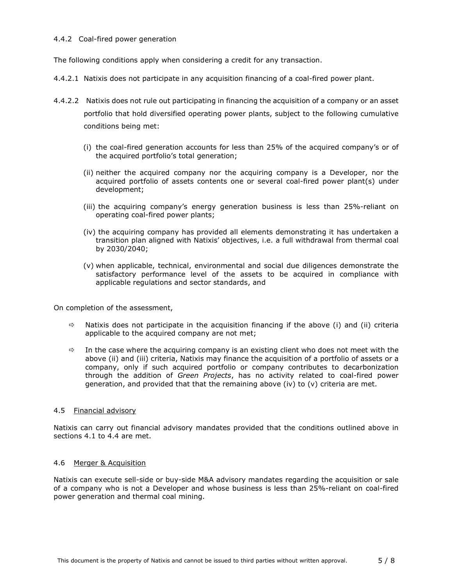#### 4.4.2 Coal-fired power generation

The following conditions apply when considering a credit for any transaction.

- 4.4.2.1 Natixis does not participate in any acquisition financing of a coal-fired power plant.
- 4.4.2.2 Natixis does not rule out participating in financing the acquisition of a company or an asset portfolio that hold diversified operating power plants, subject to the following cumulative conditions being met:
	- (i) the coal-fired generation accounts for less than 25% of the acquired company's or of the acquired portfolio's total generation;
	- (ii) neither the acquired company nor the acquiring company is a Developer, nor the acquired portfolio of assets contents one or several coal-fired power plant(s) under development;
	- (iii) the acquiring company's energy generation business is less than 25%-reliant on operating coal-fired power plants;
	- (iv) the acquiring company has provided all elements demonstrating it has undertaken a transition plan aligned with Natixis' objectives, i.e. a full withdrawal from thermal coal by 2030/2040;
	- (v) when applicable, technical, environmental and social due diligences demonstrate the satisfactory performance level of the assets to be acquired in compliance with applicable regulations and sector standards, and

On completion of the assessment,

- $\Rightarrow$  Natixis does not participate in the acquisition financing if the above (i) and (ii) criteria applicable to the acquired company are not met;
- $\Rightarrow$  In the case where the acquiring company is an existing client who does not meet with the above (ii) and (iii) criteria, Natixis may finance the acquisition of a portfolio of assets or a company, only if such acquired portfolio or company contributes to decarbonization through the addition of *Green Projects*, has no activity related to coal-fired power generation, and provided that that the remaining above (iv) to  $(v)$  criteria are met.

#### 4.5 Financial advisory

Natixis can carry out financial advisory mandates provided that the conditions outlined above in sections 4.1 to 4.4 are met.

#### 4.6 Merger & Acquisition

Natixis can execute sell-side or buy-side M&A advisory mandates regarding the acquisition or sale of a company who is not a Developer and whose business is less than 25%-reliant on coal-fired power generation and thermal coal mining.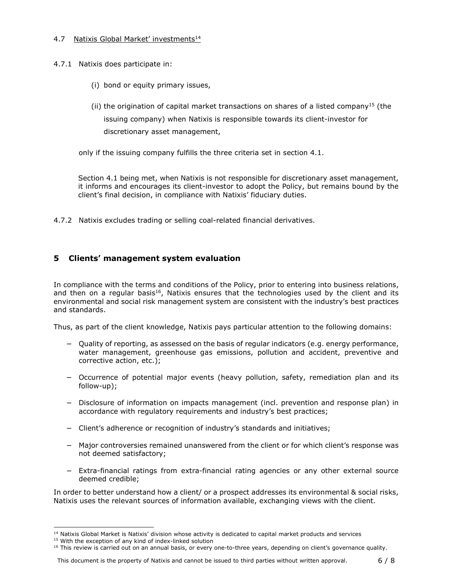## 4.7 Natixis Global Market' investments<sup>14</sup>

- 4.7.1 Natixis does participate in:
	- (i) bond or equity primary issues,
	- (ii) the origination of capital market transactions on shares of a listed company<sup>15</sup> (the issuing company) when Natixis is responsible towards its client-investor for discretionary asset management,

only if the issuing company fulfills the three criteria set in section 4.1.

Section 4.1 being met, when Natixis is not responsible for discretionary asset management, it informs and encourages its client-investor to adopt the Policy, but remains bound by the client's final decision, in compliance with Natixis' fiduciary duties.

4.7.2 Natixis excludes trading or selling coal-related financial derivatives.

# **5 Clients' management system evaluation**

In compliance with the terms and conditions of the Policy, prior to entering into business relations, and then on a regular basis<sup>16</sup>, Natixis ensures that the technologies used by the client and its environmental and social risk management system are consistent with the industry's best practices and standards.

Thus, as part of the client knowledge, Natixis pays particular attention to the following domains:

- − Quality of reporting, as assessed on the basis of regular indicators (e.g. energy performance, water management, greenhouse gas emissions, pollution and accident, preventive and corrective action, etc.);
- − Occurrence of potential major events (heavy pollution, safety, remediation plan and its follow-up);
- − Disclosure of information on impacts management (incl. prevention and response plan) in accordance with regulatory requirements and industry's best practices;
- − Client's adherence or recognition of industry's standards and initiatives;
- − Major controversies remained unanswered from the client or for which client's response was not deemed satisfactory;
- − Extra-financial ratings from extra-financial rating agencies or any other external source deemed credible;

In order to better understand how a client/ or a prospect addresses its environmental & social risks, Natixis uses the relevant sources of information available, exchanging views with the client.

<sup>&</sup>lt;sup>14</sup> Natixis Global Market is Natixis' division whose activity is dedicated to capital market products and services

<sup>&</sup>lt;sup>15</sup> With the exception of any kind of index-linked solution

 $16$  This review is carried out on an annual basis, or every one-to-three years, depending on client's governance quality.

This document is the property of Natixis and cannot be issued to third parties without written approval. 6 / 8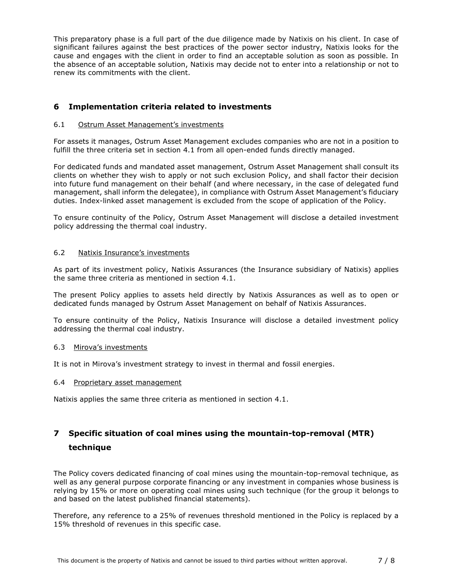This preparatory phase is a full part of the due diligence made by Natixis on his client. In case of significant failures against the best practices of the power sector industry, Natixis looks for the cause and engages with the client in order to find an acceptable solution as soon as possible. In the absence of an acceptable solution, Natixis may decide not to enter into a relationship or not to renew its commitments with the client.

# **6 Implementation criteria related to investments**

#### 6.1 Ostrum Asset Management's investments

For assets it manages, Ostrum Asset Management excludes companies who are not in a position to fulfill the three criteria set in section 4.1 from all open-ended funds directly managed.

For dedicated funds and mandated asset management, Ostrum Asset Management shall consult its clients on whether they wish to apply or not such exclusion Policy, and shall factor their decision into future fund management on their behalf (and where necessary, in the case of delegated fund management, shall inform the delegatee), in compliance with Ostrum Asset Management's fiduciary duties. Index-linked asset management is excluded from the scope of application of the Policy.

To ensure continuity of the Policy, Ostrum Asset Management will disclose a detailed investment policy addressing the thermal coal industry.

#### 6.2 Natixis Insurance's investments

As part of its investment policy, Natixis Assurances (the Insurance subsidiary of Natixis) applies the same three criteria as mentioned in section 4.1.

The present Policy applies to assets held directly by Natixis Assurances as well as to open or dedicated funds managed by Ostrum Asset Management on behalf of Natixis Assurances.

To ensure continuity of the Policy, Natixis Insurance will disclose a detailed investment policy addressing the thermal coal industry.

#### 6.3 Mirova's investments

It is not in Mirova's investment strategy to invest in thermal and fossil energies.

#### 6.4 Proprietary asset management

Natixis applies the same three criteria as mentioned in section 4.1.

# **7 Specific situation of coal mines using the mountain-top-removal (MTR) technique**

The Policy covers dedicated financing of coal mines using the mountain-top-removal technique, as well as any general purpose corporate financing or any investment in companies whose business is relying by 15% or more on operating coal mines using such technique (for the group it belongs to and based on the latest published financial statements).

Therefore, any reference to a 25% of revenues threshold mentioned in the Policy is replaced by a 15% threshold of revenues in this specific case.